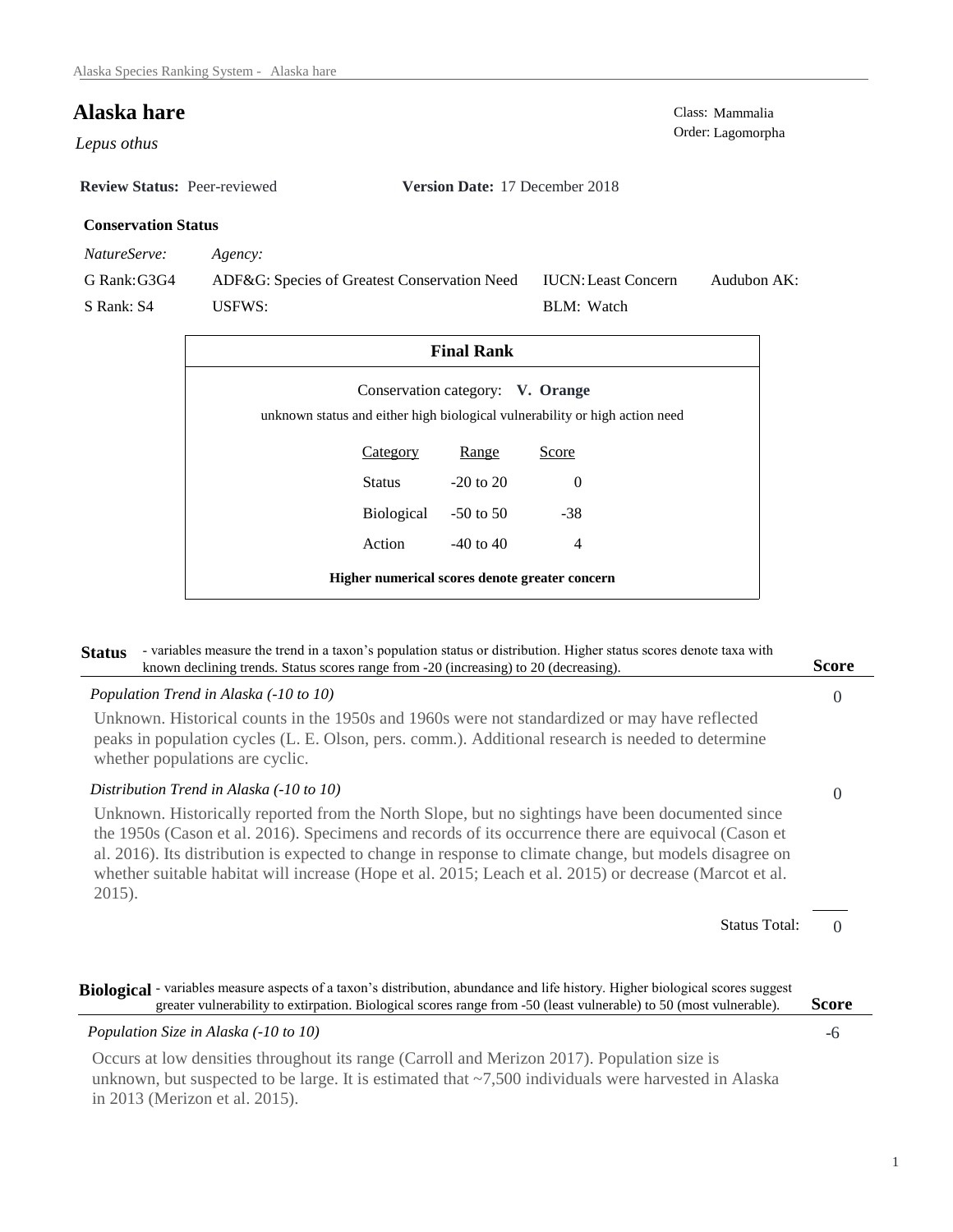# **Alaska hare** Class: Mammalia Class: Mammalia Class: Mammalia Class: Mammalia Class: Mammalia

Order: Lagomorpha *Lepus othus* 

**Review Status:** Peer-reviewed **Version Date:** 17 December 2018

BLM: Watch

IUCN:Least Concern

Audubon AK:

## **Conservation Status**

*NatureServe: Agency:*

G Rank:G3G4 S Rank: S4 ADF&G: Species of Greatest Conservation Need USFWS:

| <b>Final Rank</b>                                                                                               |                      |               |                |  |  |  |
|-----------------------------------------------------------------------------------------------------------------|----------------------|---------------|----------------|--|--|--|
| Conservation category: V. Orange<br>unknown status and either high biological vulnerability or high action need |                      |               |                |  |  |  |
|                                                                                                                 | <b>Category</b>      | Range         | Score          |  |  |  |
|                                                                                                                 | Status               | $-20$ to $20$ | $\Omega$       |  |  |  |
|                                                                                                                 | Biological -50 to 50 |               | $-38$          |  |  |  |
|                                                                                                                 | Action               | $-40$ to $40$ | $\overline{4}$ |  |  |  |
| Higher numerical scores denote greater concern                                                                  |                      |               |                |  |  |  |

### Status - variables measure the trend in a taxon's population status or distribution. Higher status scores denote taxa with known declining trends. Status scores range from -20 (increasing) to 20 (decreasing). **Score**

| Population Trend in Alaska (-10 to 10)                                                                                                                                                                                                                                                                                                                                                                                                   | $\theta$ |
|------------------------------------------------------------------------------------------------------------------------------------------------------------------------------------------------------------------------------------------------------------------------------------------------------------------------------------------------------------------------------------------------------------------------------------------|----------|
| Unknown. Historical counts in the 1950s and 1960s were not standardized or may have reflected<br>peaks in population cycles (L. E. Olson, pers. comm.). Additional research is needed to determine<br>whether populations are cyclic.                                                                                                                                                                                                    |          |
| Distribution Trend in Alaska (-10 to 10)                                                                                                                                                                                                                                                                                                                                                                                                 | $\theta$ |
| Unknown. Historically reported from the North Slope, but no sightings have been documented since<br>the 1950s (Cason et al. 2016). Specimens and records of its occurrence there are equivocal (Cason et<br>al. 2016). Its distribution is expected to change in response to climate change, but models disagree on<br>whether suitable habitat will increase (Hope et al. 2015; Leach et al. 2015) or decrease (Marcot et al.<br>2015). |          |
| <b>Status Total:</b>                                                                                                                                                                                                                                                                                                                                                                                                                     |          |
|                                                                                                                                                                                                                                                                                                                                                                                                                                          |          |
| Biological - variables measure aspects of a taxon's distribution, abundance and life history. Higher biological scores suggest<br>greater vulnerability to extirpation. Biological scores range from -50 (least vulnerable) to 50 (most vulnerable).                                                                                                                                                                                     | Score    |
| Population Size in Alaska (-10 to 10)                                                                                                                                                                                                                                                                                                                                                                                                    | -6       |
| $\bigcap$ if it is a set of $\bigcap$ if in $\bigcap$ if $\bigcap$ $\bigcap$ $\bigcap$ $\bigcap$ $\bigcap$ $\bigcap$ $\bigcap$ $\bigcap$ $\bigcap$ $\bigcap$ $\bigcap$ $\bigcap$ $\bigcap$ $\bigcap$ $\bigcap$ $\bigcap$ $\bigcap$ $\bigcap$ $\bigcap$ $\bigcap$ $\bigcap$ $\bigcap$ $\bigcap$ $\bigcap$ $\bigcap$ $\bigcap$ $\bigcap$ $\bigcap$ $\bigcap$ $\$                                                                           |          |

Occurs at low densities throughout its range (Carroll and Merizon 2017). Population size is unknown, but suspected to be large. It is estimated that ~7,500 individuals were harvested in Alaska in 2013 (Merizon et al. 2015).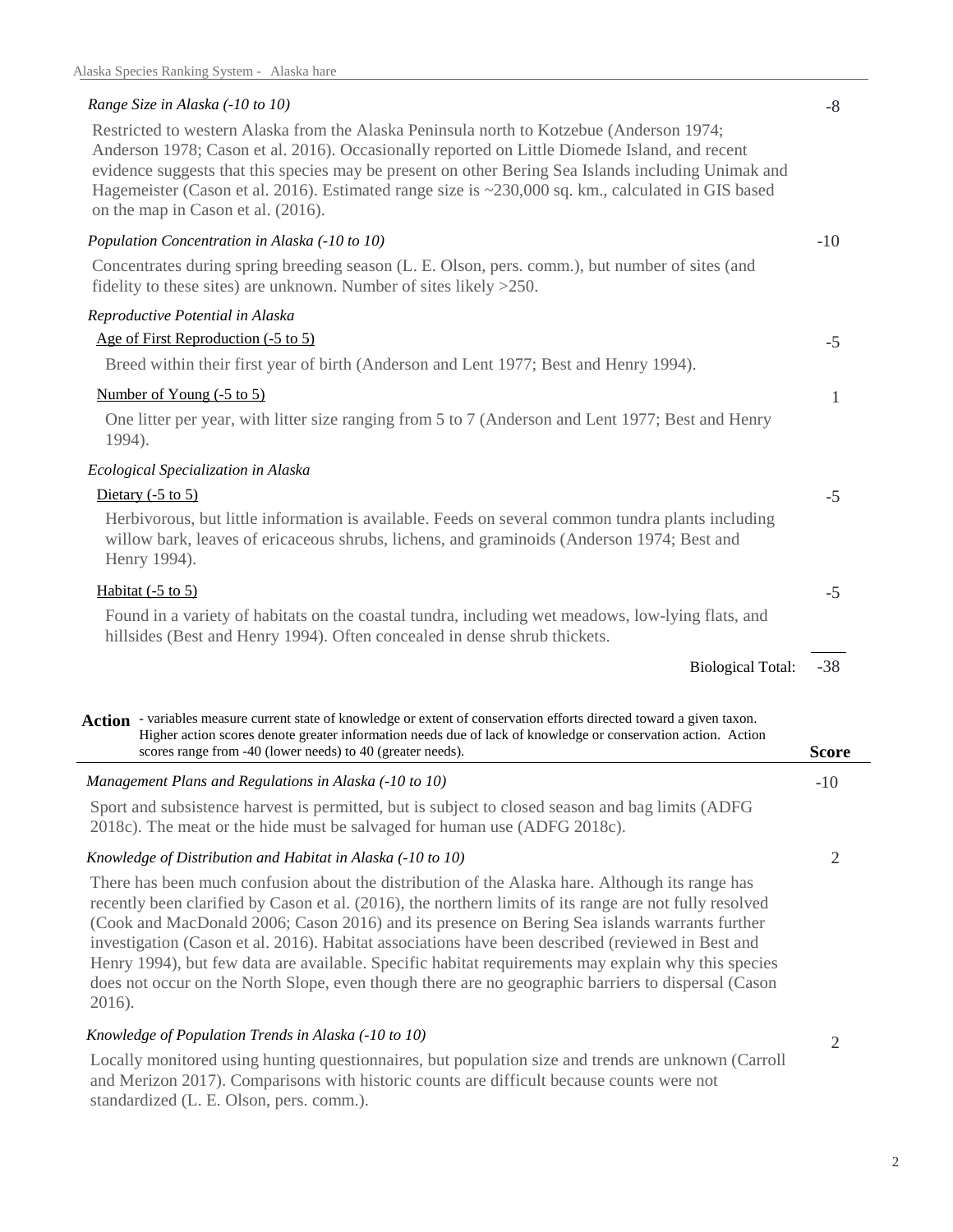## *Range Size in Alaska (-10 to 10)*

Restricted to western Alaska from the Alaska Peninsula north to Kotzebue (Anderson 1974; Anderson 1978; Cason et al. 2016). Occasionally reported on Little Diomede Island, and recent evidence suggests that this species may be present on other Bering Sea Islands including Unimak and Hagemeister (Cason et al. 2016). Estimated range size is ~230,000 sq. km., calculated in GIS based on the map in Cason et al. (2016).

| Population Concentration in Alaska (-10 to 10)                                                                                                                                                                  | $-10$        |
|-----------------------------------------------------------------------------------------------------------------------------------------------------------------------------------------------------------------|--------------|
| Concentrates during spring breeding season (L. E. Olson, pers. comm.), but number of sites (and<br>fidelity to these sites) are unknown. Number of sites likely $>250$ .                                        |              |
| Reproductive Potential in Alaska                                                                                                                                                                                |              |
| Age of First Reproduction (-5 to 5)                                                                                                                                                                             | $-5$         |
| Breed within their first year of birth (Anderson and Lent 1977; Best and Henry 1994).                                                                                                                           |              |
| Number of Young (-5 to 5)                                                                                                                                                                                       | $\mathbf{1}$ |
| One litter per year, with litter size ranging from 5 to 7 (Anderson and Lent 1977; Best and Henry<br>1994).                                                                                                     |              |
| Ecological Specialization in Alaska                                                                                                                                                                             |              |
| Dietary $(-5 \text{ to } 5)$                                                                                                                                                                                    | $-5$         |
| Herbivorous, but little information is available. Feeds on several common tundra plants including<br>willow bark, leaves of ericaceous shrubs, lichens, and graminoids (Anderson 1974; Best and<br>Henry 1994). |              |
| Habitat $(-5 \text{ to } 5)$                                                                                                                                                                                    | $-5$         |
| Found in a variety of habitats on the coastal tundra, including wet meadows, low-lying flats, and<br>hillsides (Best and Henry 1994). Often concealed in dense shrub thickets.                                  |              |
| <b>Biological Total:</b>                                                                                                                                                                                        | $-38$        |
| example of the set of the original and the content of consequentian effects dispeted terms of correct set of the                                                                                                |              |

-10 *Management Plans and Regulations in Alaska (-10 to 10)* Action - variables measure current state of knowledge or extent of conservation efforts directed toward a given taxon. **Score** Higher action scores denote greater information needs due of lack of knowledge or conservation action. Action scores range from -40 (lower needs) to 40 (greater needs).

Sport and subsistence harvest is permitted, but is subject to closed season and bag limits (ADFG 2018c). The meat or the hide must be salvaged for human use (ADFG 2018c).

## *Knowledge of Distribution and Habitat in Alaska (-10 to 10)*

There has been much confusion about the distribution of the Alaska hare. Although its range has recently been clarified by Cason et al. (2016), the northern limits of its range are not fully resolved (Cook and MacDonald 2006; Cason 2016) and its presence on Bering Sea islands warrants further investigation (Cason et al. 2016). Habitat associations have been described (reviewed in Best and Henry 1994), but few data are available. Specific habitat requirements may explain why this species does not occur on the North Slope, even though there are no geographic barriers to dispersal (Cason 2016).

# *Knowledge of Population Trends in Alaska (-10 to 10)*

Locally monitored using hunting questionnaires, but population size and trends are unknown (Carroll and Merizon 2017). Comparisons with historic counts are difficult because counts were not standardized (L. E. Olson, pers. comm.).

2

2

-8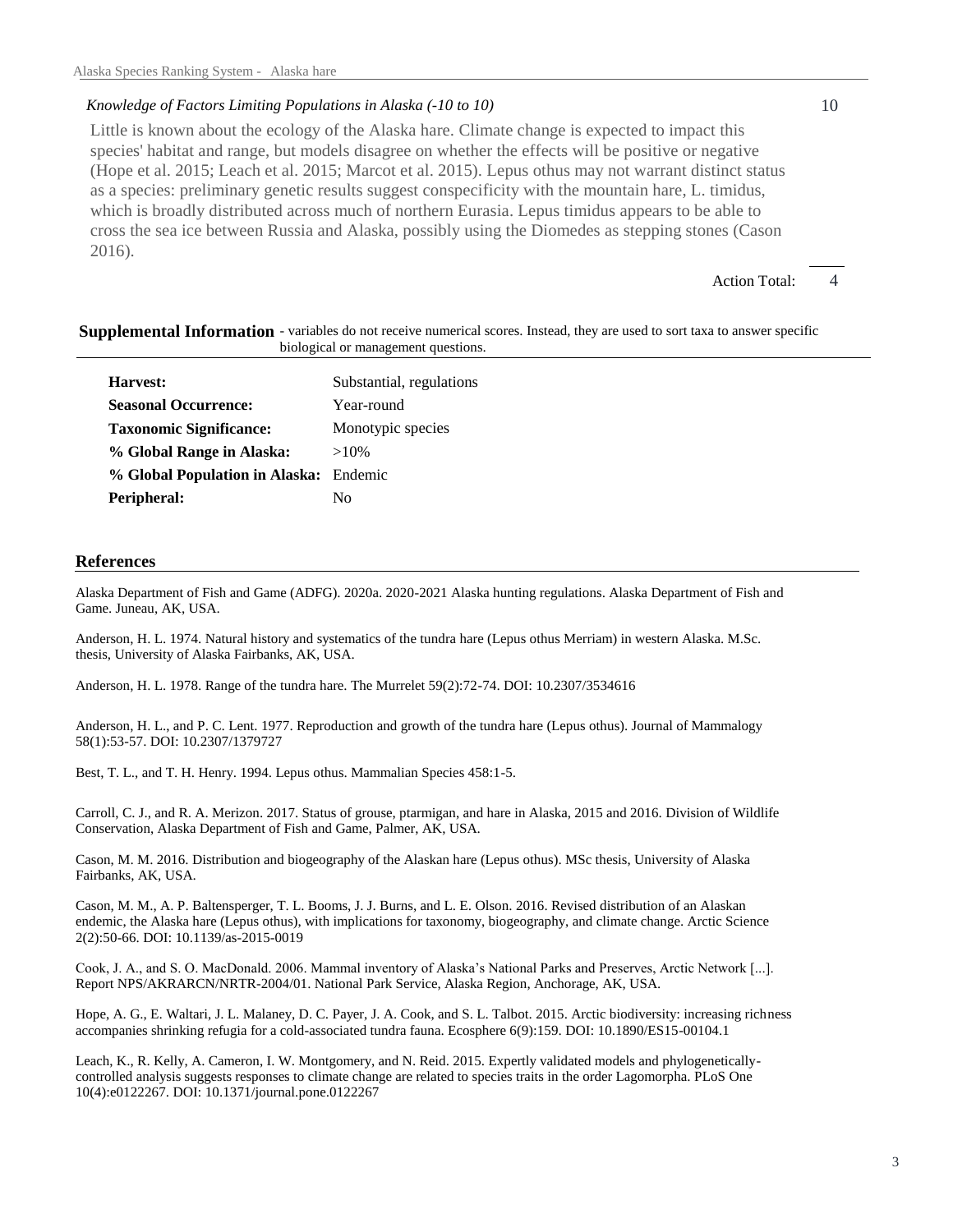## *Knowledge of Factors Limiting Populations in Alaska (-10 to 10)*

Little is known about the ecology of the Alaska hare. Climate change is expected to impact this species' habitat and range, but models disagree on whether the effects will be positive or negative (Hope et al. 2015; Leach et al. 2015; Marcot et al. 2015). Lepus othus may not warrant distinct status as a species: preliminary genetic results suggest conspecificity with the mountain hare, L. timidus, which is broadly distributed across much of northern Eurasia. Lepus timidus appears to be able to cross the sea ice between Russia and Alaska, possibly using the Diomedes as stepping stones (Cason 2016).

Action Total:

 $\overline{\mathcal{A}}$ 

10

#### Supplemental Information - variables do not receive numerical scores. Instead, they are used to sort taxa to answer specific biological or management questions.

| Substantial, regulations               |
|----------------------------------------|
| Year-round                             |
| Monotypic species                      |
| $>10\%$                                |
| % Global Population in Alaska: Endemic |
| Nο                                     |
|                                        |

### **References**

Alaska Department of Fish and Game (ADFG). 2020a. 2020-2021 Alaska hunting regulations. Alaska Department of Fish and Game. Juneau, AK, USA.

Anderson, H. L. 1974. Natural history and systematics of the tundra hare (Lepus othus Merriam) in western Alaska. M.Sc. thesis, University of Alaska Fairbanks, AK, USA.

Anderson, H. L. 1978. Range of the tundra hare. The Murrelet 59(2):72-74. DOI: 10.2307/3534616

Anderson, H. L., and P. C. Lent. 1977. Reproduction and growth of the tundra hare (Lepus othus). Journal of Mammalogy 58(1):53-57. DOI: 10.2307/1379727

Best, T. L., and T. H. Henry. 1994. Lepus othus. Mammalian Species 458:1-5.

Carroll, C. J., and R. A. Merizon. 2017. Status of grouse, ptarmigan, and hare in Alaska, 2015 and 2016. Division of Wildlife Conservation, Alaska Department of Fish and Game, Palmer, AK, USA.

Cason, M. M. 2016. Distribution and biogeography of the Alaskan hare (Lepus othus). MSc thesis, University of Alaska Fairbanks, AK, USA.

Cason, M. M., A. P. Baltensperger, T. L. Booms, J. J. Burns, and L. E. Olson. 2016. Revised distribution of an Alaskan endemic, the Alaska hare (Lepus othus), with implications for taxonomy, biogeography, and climate change. Arctic Science 2(2):50-66. DOI: 10.1139/as-2015-0019

Cook, J. A., and S. O. MacDonald. 2006. Mammal inventory of Alaska's National Parks and Preserves, Arctic Network [...]. Report NPS/AKRARCN/NRTR-2004/01. National Park Service, Alaska Region, Anchorage, AK, USA.

Hope, A. G., E. Waltari, J. L. Malaney, D. C. Payer, J. A. Cook, and S. L. Talbot. 2015. Arctic biodiversity: increasing richness accompanies shrinking refugia for a cold-associated tundra fauna. Ecosphere 6(9):159. DOI: 10.1890/ES15-00104.1

Leach, K., R. Kelly, A. Cameron, I. W. Montgomery, and N. Reid. 2015. Expertly validated models and phylogeneticallycontrolled analysis suggests responses to climate change are related to species traits in the order Lagomorpha. PLoS One 10(4):e0122267. DOI: 10.1371/journal.pone.0122267